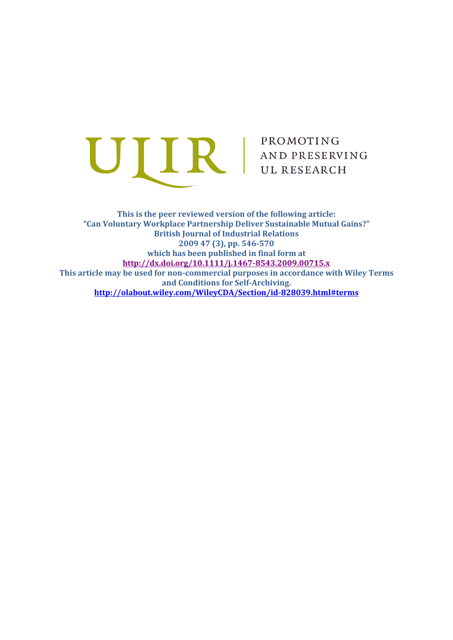

**This is the peer reviewed version of the following article: "Can Voluntary Workplace Partnership Deliver Sustainable Mutual Gains?" British Journal of Industrial Relations 2009 47 (3), pp. 546-570 which has been published in final form at <http://dx.doi.org/10.1111/j.1467-8543.2009.00715.x> This article may be used for non-commercial purposes in accordance with Wiley Terms and Conditions for Self-Archiving. <http://olabout.wiley.com/WileyCDA/Section/id-828039.html#terms>**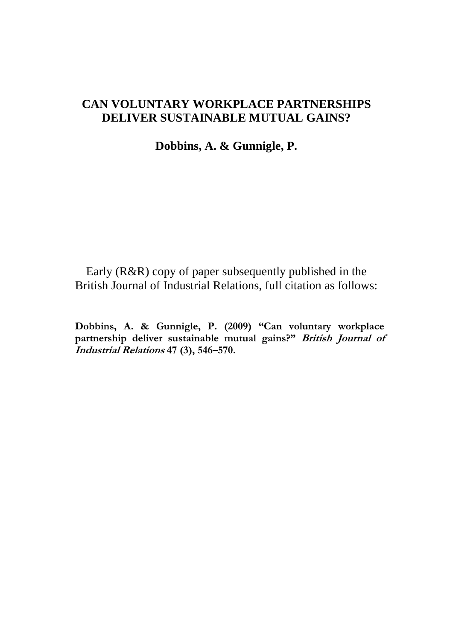# **CAN VOLUNTARY WORKPLACE PARTNERSHIPS DELIVER SUSTAINABLE MUTUAL GAINS?**

**Dobbins, A. & Gunnigle, P.**

Early (R&R) copy of paper subsequently published in the British Journal of Industrial Relations, full citation as follows:

**Dobbins, A. & Gunnigle, P. (2009) "Can voluntary workplace partnership deliver sustainable mutual gains?" British Journal of Industrial Relations 47 (3), 546–570.**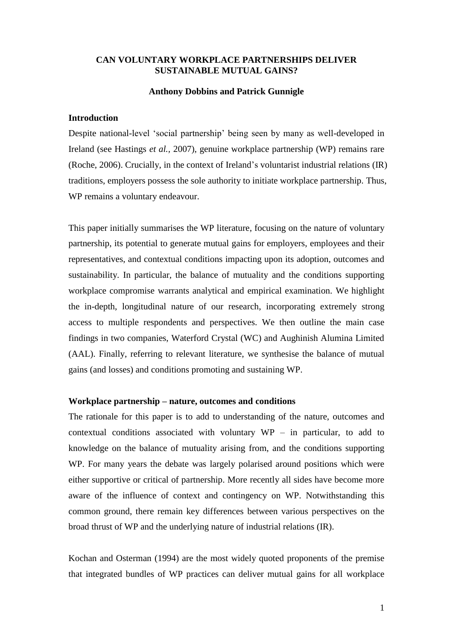### **CAN VOLUNTARY WORKPLACE PARTNERSHIPS DELIVER SUSTAINABLE MUTUAL GAINS?**

#### **Anthony Dobbins and Patrick Gunnigle**

#### **Introduction**

Despite national-level 'social partnership' being seen by many as well-developed in Ireland (see Hastings *et al.,* 2007), genuine workplace partnership (WP) remains rare (Roche, 2006). Crucially, in the context of Ireland's voluntarist industrial relations (IR) traditions, employers possess the sole authority to initiate workplace partnership. Thus, WP remains a voluntary endeavour.

This paper initially summarises the WP literature, focusing on the nature of voluntary partnership, its potential to generate mutual gains for employers, employees and their representatives, and contextual conditions impacting upon its adoption, outcomes and sustainability. In particular, the balance of mutuality and the conditions supporting workplace compromise warrants analytical and empirical examination. We highlight the in-depth, longitudinal nature of our research, incorporating extremely strong access to multiple respondents and perspectives. We then outline the main case findings in two companies, Waterford Crystal (WC) and Aughinish Alumina Limited (AAL). Finally, referring to relevant literature, we synthesise the balance of mutual gains (and losses) and conditions promoting and sustaining WP.

#### **Workplace partnership – nature, outcomes and conditions**

The rationale for this paper is to add to understanding of the nature, outcomes and contextual conditions associated with voluntary WP – in particular, to add to knowledge on the balance of mutuality arising from, and the conditions supporting WP. For many years the debate was largely polarised around positions which were either supportive or critical of partnership. More recently all sides have become more aware of the influence of context and contingency on WP. Notwithstanding this common ground, there remain key differences between various perspectives on the broad thrust of WP and the underlying nature of industrial relations (IR).

Kochan and Osterman (1994) are the most widely quoted proponents of the premise that integrated bundles of WP practices can deliver mutual gains for all workplace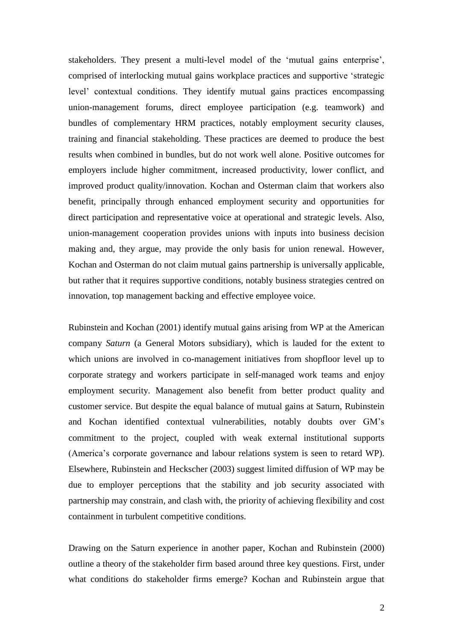stakeholders. They present a multi-level model of the 'mutual gains enterprise', comprised of interlocking mutual gains workplace practices and supportive 'strategic level' contextual conditions. They identify mutual gains practices encompassing union-management forums, direct employee participation (e.g. teamwork) and bundles of complementary HRM practices, notably employment security clauses, training and financial stakeholding. These practices are deemed to produce the best results when combined in bundles, but do not work well alone. Positive outcomes for employers include higher commitment, increased productivity, lower conflict, and improved product quality/innovation. Kochan and Osterman claim that workers also benefit, principally through enhanced employment security and opportunities for direct participation and representative voice at operational and strategic levels. Also, union-management cooperation provides unions with inputs into business decision making and, they argue, may provide the only basis for union renewal. However, Kochan and Osterman do not claim mutual gains partnership is universally applicable, but rather that it requires supportive conditions, notably business strategies centred on innovation, top management backing and effective employee voice.

Rubinstein and Kochan (2001) identify mutual gains arising from WP at the American company *Saturn* (a General Motors subsidiary), which is lauded for the extent to which unions are involved in co-management initiatives from shopfloor level up to corporate strategy and workers participate in self-managed work teams and enjoy employment security. Management also benefit from better product quality and customer service. But despite the equal balance of mutual gains at Saturn, Rubinstein and Kochan identified contextual vulnerabilities, notably doubts over GM's commitment to the project, coupled with weak external institutional supports (America's corporate governance and labour relations system is seen to retard WP). Elsewhere, Rubinstein and Heckscher (2003) suggest limited diffusion of WP may be due to employer perceptions that the stability and job security associated with partnership may constrain, and clash with, the priority of achieving flexibility and cost containment in turbulent competitive conditions.

Drawing on the Saturn experience in another paper, Kochan and Rubinstein (2000) outline a theory of the stakeholder firm based around three key questions. First, under what conditions do stakeholder firms emerge? Kochan and Rubinstein argue that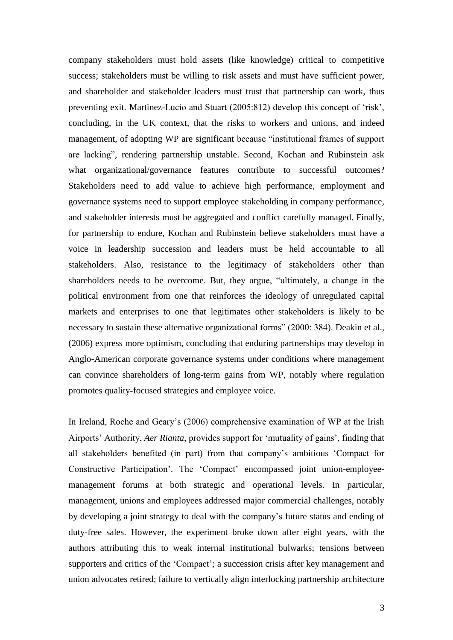company stakeholders must hold assets (like knowledge) critical to competitive success; stakeholders must be willing to risk assets and must have sufficient power, and shareholder and stakeholder leaders must trust that partnership can work, thus preventing exit. Martinez-Lucio and Stuart (2005:812) develop this concept of 'risk', concluding, in the UK context, that the risks to workers and unions, and indeed management, of adopting WP are significant because "institutional frames of support are lacking", rendering partnership unstable. Second, Kochan and Rubinstein ask what organizational/governance features contribute to successful outcomes? Stakeholders need to add value to achieve high performance, employment and governance systems need to support employee stakeholding in company performance, and stakeholder interests must be aggregated and conflict carefully managed. Finally, for partnership to endure, Kochan and Rubinstein believe stakeholders must have a voice in leadership succession and leaders must be held accountable to all stakeholders. Also, resistance to the legitimacy of stakeholders other than shareholders needs to be overcome. But, they argue, "ultimately, a change in the political environment from one that reinforces the ideology of unregulated capital markets and enterprises to one that legitimates other stakeholders is likely to be necessary to sustain these alternative organizational forms" (2000: 384). Deakin et al., (2006) express more optimism, concluding that enduring partnerships may develop in Anglo-American corporate governance systems under conditions where management can convince shareholders of long-term gains from WP, notably where regulation promotes quality-focused strategies and employee voice.

In Ireland, Roche and Geary's (2006) comprehensive examination of WP at the Irish Airports' Authority, *Aer Rianta*, provides support for 'mutuality of gains', finding that all stakeholders benefited (in part) from that company's ambitious 'Compact for Constructive Participation'. The 'Compact' encompassed joint union-employeemanagement forums at both strategic and operational levels. In particular, management, unions and employees addressed major commercial challenges, notably by developing a joint strategy to deal with the company's future status and ending of duty-free sales. However, the experiment broke down after eight years, with the authors attributing this to weak internal institutional bulwarks; tensions between supporters and critics of the 'Compact'; a succession crisis after key management and union advocates retired; failure to vertically align interlocking partnership architecture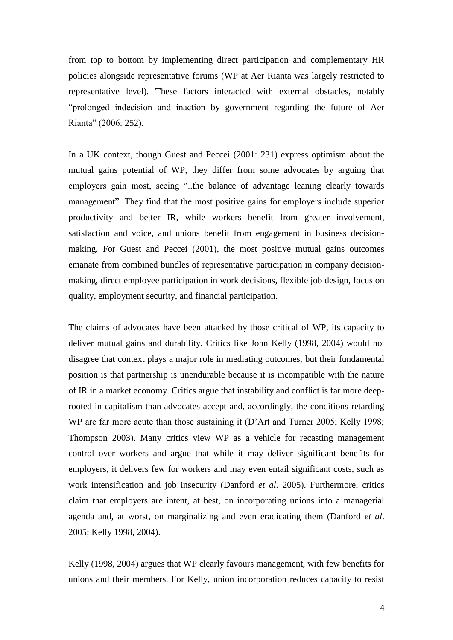from top to bottom by implementing direct participation and complementary HR policies alongside representative forums (WP at Aer Rianta was largely restricted to representative level). These factors interacted with external obstacles, notably "prolonged indecision and inaction by government regarding the future of Aer Rianta" (2006: 252).

In a UK context, though Guest and Peccei (2001: 231) express optimism about the mutual gains potential of WP, they differ from some advocates by arguing that employers gain most, seeing "..the balance of advantage leaning clearly towards management". They find that the most positive gains for employers include superior productivity and better IR, while workers benefit from greater involvement, satisfaction and voice, and unions benefit from engagement in business decisionmaking. For Guest and Peccei (2001), the most positive mutual gains outcomes emanate from combined bundles of representative participation in company decisionmaking, direct employee participation in work decisions, flexible job design, focus on quality, employment security, and financial participation.

The claims of advocates have been attacked by those critical of WP, its capacity to deliver mutual gains and durability. Critics like John Kelly (1998, 2004) would not disagree that context plays a major role in mediating outcomes, but their fundamental position is that partnership is unendurable because it is incompatible with the nature of IR in a market economy. Critics argue that instability and conflict is far more deeprooted in capitalism than advocates accept and, accordingly, the conditions retarding WP are far more acute than those sustaining it (D'Art and Turner 2005; Kelly 1998; Thompson 2003). Many critics view WP as a vehicle for recasting management control over workers and argue that while it may deliver significant benefits for employers, it delivers few for workers and may even entail significant costs, such as work intensification and job insecurity (Danford *et al*. 2005). Furthermore, critics claim that employers are intent, at best, on incorporating unions into a managerial agenda and, at worst, on marginalizing and even eradicating them (Danford *et al*. 2005; Kelly 1998, 2004).

Kelly (1998, 2004) argues that WP clearly favours management, with few benefits for unions and their members. For Kelly, union incorporation reduces capacity to resist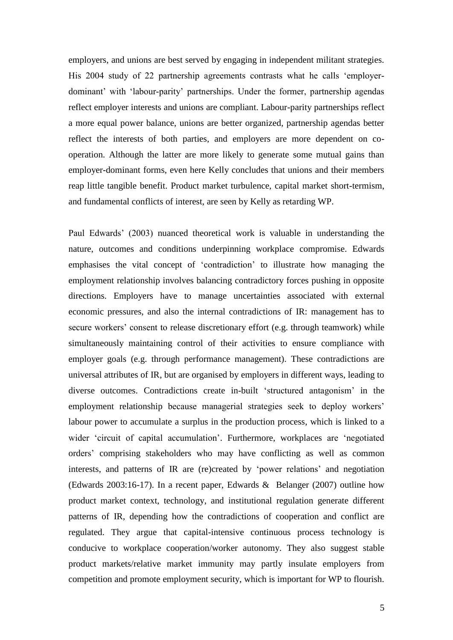employers, and unions are best served by engaging in independent militant strategies. His 2004 study of 22 partnership agreements contrasts what he calls 'employerdominant' with 'labour-parity' partnerships. Under the former, partnership agendas reflect employer interests and unions are compliant. Labour-parity partnerships reflect a more equal power balance, unions are better organized, partnership agendas better reflect the interests of both parties, and employers are more dependent on cooperation. Although the latter are more likely to generate some mutual gains than employer-dominant forms, even here Kelly concludes that unions and their members reap little tangible benefit. Product market turbulence, capital market short-termism, and fundamental conflicts of interest, are seen by Kelly as retarding WP.

Paul Edwards' (2003) nuanced theoretical work is valuable in understanding the nature, outcomes and conditions underpinning workplace compromise. Edwards emphasises the vital concept of 'contradiction' to illustrate how managing the employment relationship involves balancing contradictory forces pushing in opposite directions. Employers have to manage uncertainties associated with external economic pressures, and also the internal contradictions of IR: management has to secure workers' consent to release discretionary effort (e.g. through teamwork) while simultaneously maintaining control of their activities to ensure compliance with employer goals (e.g. through performance management). These contradictions are universal attributes of IR, but are organised by employers in different ways, leading to diverse outcomes. Contradictions create in-built 'structured antagonism' in the employment relationship because managerial strategies seek to deploy workers' labour power to accumulate a surplus in the production process, which is linked to a wider 'circuit of capital accumulation'. Furthermore, workplaces are 'negotiated orders' comprising stakeholders who may have conflicting as well as common interests, and patterns of IR are (re)created by 'power relations' and negotiation (Edwards 2003:16-17). In a recent paper, Edwards & Belanger (2007) outline how product market context, technology, and institutional regulation generate different patterns of IR, depending how the contradictions of cooperation and conflict are regulated. They argue that capital-intensive continuous process technology is conducive to workplace cooperation/worker autonomy. They also suggest stable product markets/relative market immunity may partly insulate employers from competition and promote employment security, which is important for WP to flourish.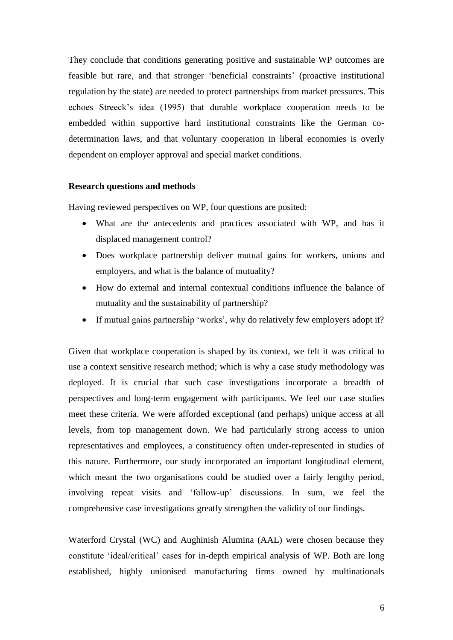They conclude that conditions generating positive and sustainable WP outcomes are feasible but rare, and that stronger 'beneficial constraints' (proactive institutional regulation by the state) are needed to protect partnerships from market pressures. This echoes Streeck's idea (1995) that durable workplace cooperation needs to be embedded within supportive hard institutional constraints like the German codetermination laws, and that voluntary cooperation in liberal economies is overly dependent on employer approval and special market conditions.

#### **Research questions and methods**

Having reviewed perspectives on WP, four questions are posited:

- What are the antecedents and practices associated with WP, and has it displaced management control?
- Does workplace partnership deliver mutual gains for workers, unions and employers, and what is the balance of mutuality?
- How do external and internal contextual conditions influence the balance of mutuality and the sustainability of partnership?
- If mutual gains partnership 'works', why do relatively few employers adopt it?

Given that workplace cooperation is shaped by its context, we felt it was critical to use a context sensitive research method; which is why a case study methodology was deployed. It is crucial that such case investigations incorporate a breadth of perspectives and long-term engagement with participants. We feel our case studies meet these criteria. We were afforded exceptional (and perhaps) unique access at all levels, from top management down. We had particularly strong access to union representatives and employees, a constituency often under-represented in studies of this nature. Furthermore, our study incorporated an important longitudinal element, which meant the two organisations could be studied over a fairly lengthy period, involving repeat visits and 'follow-up' discussions. In sum, we feel the comprehensive case investigations greatly strengthen the validity of our findings.

Waterford Crystal (WC) and Aughinish Alumina (AAL) were chosen because they constitute 'ideal/critical' cases for in-depth empirical analysis of WP. Both are long established, highly unionised manufacturing firms owned by multinationals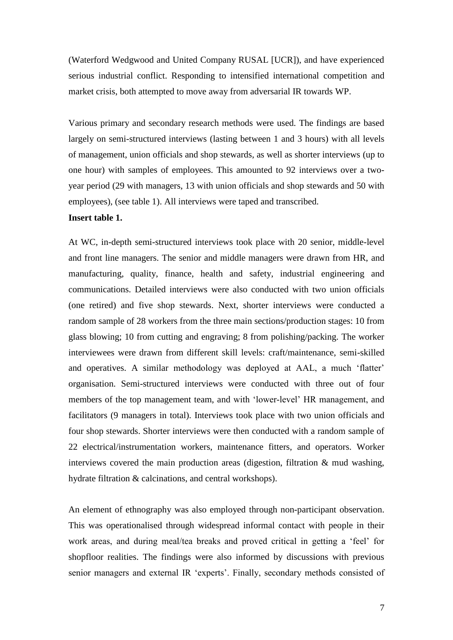(Waterford Wedgwood and United Company RUSAL [UCR]), and have experienced serious industrial conflict. Responding to intensified international competition and market crisis, both attempted to move away from adversarial IR towards WP.

Various primary and secondary research methods were used. The findings are based largely on semi-structured interviews (lasting between 1 and 3 hours) with all levels of management, union officials and shop stewards, as well as shorter interviews (up to one hour) with samples of employees. This amounted to 92 interviews over a twoyear period (29 with managers, 13 with union officials and shop stewards and 50 with employees), (see table 1). All interviews were taped and transcribed.

#### **Insert table 1.**

At WC, in-depth semi-structured interviews took place with 20 senior, middle-level and front line managers. The senior and middle managers were drawn from HR, and manufacturing, quality, finance, health and safety, industrial engineering and communications. Detailed interviews were also conducted with two union officials (one retired) and five shop stewards. Next, shorter interviews were conducted a random sample of 28 workers from the three main sections/production stages: 10 from glass blowing; 10 from cutting and engraving; 8 from polishing/packing. The worker interviewees were drawn from different skill levels: craft/maintenance, semi-skilled and operatives. A similar methodology was deployed at AAL, a much 'flatter' organisation. Semi-structured interviews were conducted with three out of four members of the top management team, and with 'lower-level' HR management, and facilitators (9 managers in total). Interviews took place with two union officials and four shop stewards. Shorter interviews were then conducted with a random sample of 22 electrical/instrumentation workers, maintenance fitters, and operators. Worker interviews covered the main production areas (digestion, filtration  $\&$  mud washing, hydrate filtration & calcinations, and central workshops).

An element of ethnography was also employed through non-participant observation. This was operationalised through widespread informal contact with people in their work areas, and during meal/tea breaks and proved critical in getting a 'feel' for shopfloor realities. The findings were also informed by discussions with previous senior managers and external IR 'experts'. Finally, secondary methods consisted of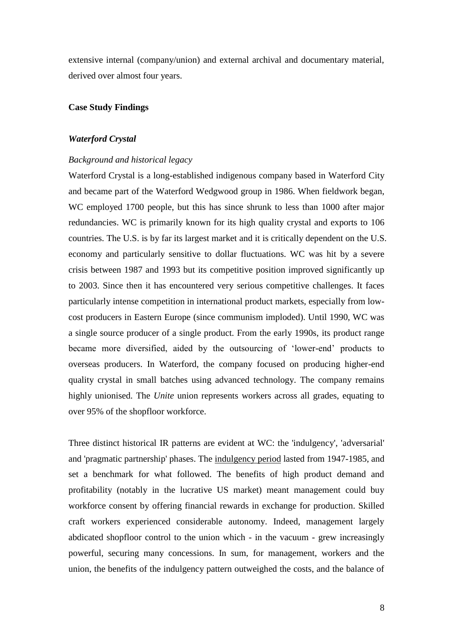extensive internal (company/union) and external archival and documentary material, derived over almost four years.

### **Case Study Findings**

## *Waterford Crystal*

#### *Background and historical legacy*

Waterford Crystal is a long-established indigenous company based in Waterford City and became part of the Waterford Wedgwood group in 1986. When fieldwork began, WC employed 1700 people, but this has since shrunk to less than 1000 after major redundancies. WC is primarily known for its high quality crystal and exports to 106 countries. The U.S. is by far its largest market and it is critically dependent on the U.S. economy and particularly sensitive to dollar fluctuations. WC was hit by a severe crisis between 1987 and 1993 but its competitive position improved significantly up to 2003. Since then it has encountered very serious competitive challenges. It faces particularly intense competition in international product markets, especially from lowcost producers in Eastern Europe (since communism imploded). Until 1990, WC was a single source producer of a single product. From the early 1990s, its product range became more diversified, aided by the outsourcing of 'lower-end' products to overseas producers. In Waterford, the company focused on producing higher-end quality crystal in small batches using advanced technology. The company remains highly unionised. The *Unite* union represents workers across all grades, equating to over 95% of the shopfloor workforce.

Three distinct historical IR patterns are evident at WC: the 'indulgency', 'adversarial' and 'pragmatic partnership' phases. The indulgency period lasted from 1947-1985, and set a benchmark for what followed. The benefits of high product demand and profitability (notably in the lucrative US market) meant management could buy workforce consent by offering financial rewards in exchange for production. Skilled craft workers experienced considerable autonomy. Indeed, management largely abdicated shopfloor control to the union which - in the vacuum - grew increasingly powerful, securing many concessions. In sum, for management, workers and the union, the benefits of the indulgency pattern outweighed the costs, and the balance of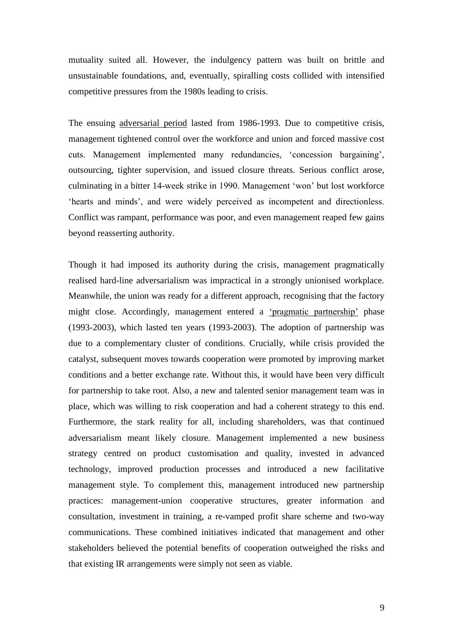mutuality suited all. However, the indulgency pattern was built on brittle and unsustainable foundations, and, eventually, spiralling costs collided with intensified competitive pressures from the 1980s leading to crisis.

The ensuing adversarial period lasted from 1986-1993. Due to competitive crisis, management tightened control over the workforce and union and forced massive cost cuts. Management implemented many redundancies, 'concession bargaining', outsourcing, tighter supervision, and issued closure threats. Serious conflict arose, culminating in a bitter 14-week strike in 1990. Management 'won' but lost workforce 'hearts and minds', and were widely perceived as incompetent and directionless. Conflict was rampant, performance was poor, and even management reaped few gains beyond reasserting authority.

Though it had imposed its authority during the crisis, management pragmatically realised hard-line adversarialism was impractical in a strongly unionised workplace. Meanwhile, the union was ready for a different approach, recognising that the factory might close. Accordingly, management entered a 'pragmatic partnership' phase (1993-2003), which lasted ten years (1993-2003). The adoption of partnership was due to a complementary cluster of conditions. Crucially, while crisis provided the catalyst, subsequent moves towards cooperation were promoted by improving market conditions and a better exchange rate. Without this, it would have been very difficult for partnership to take root. Also, a new and talented senior management team was in place, which was willing to risk cooperation and had a coherent strategy to this end. Furthermore, the stark reality for all, including shareholders, was that continued adversarialism meant likely closure. Management implemented a new business strategy centred on product customisation and quality, invested in advanced technology, improved production processes and introduced a new facilitative management style. To complement this, management introduced new partnership practices: management-union cooperative structures, greater information and consultation, investment in training, a re-vamped profit share scheme and two-way communications. These combined initiatives indicated that management and other stakeholders believed the potential benefits of cooperation outweighed the risks and that existing IR arrangements were simply not seen as viable.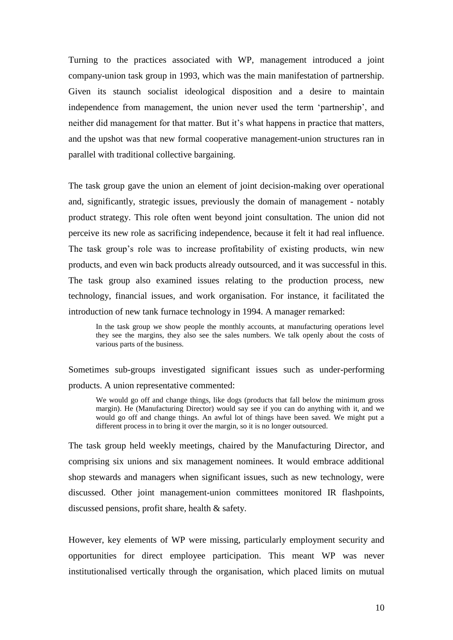Turning to the practices associated with WP, management introduced a joint company-union task group in 1993, which was the main manifestation of partnership. Given its staunch socialist ideological disposition and a desire to maintain independence from management, the union never used the term 'partnership', and neither did management for that matter. But it's what happens in practice that matters, and the upshot was that new formal cooperative management-union structures ran in parallel with traditional collective bargaining.

The task group gave the union an element of joint decision-making over operational and, significantly, strategic issues, previously the domain of management - notably product strategy. This role often went beyond joint consultation. The union did not perceive its new role as sacrificing independence, because it felt it had real influence. The task group's role was to increase profitability of existing products, win new products, and even win back products already outsourced, and it was successful in this. The task group also examined issues relating to the production process, new technology, financial issues, and work organisation. For instance, it facilitated the introduction of new tank furnace technology in 1994. A manager remarked:

In the task group we show people the monthly accounts, at manufacturing operations level they see the margins, they also see the sales numbers. We talk openly about the costs of various parts of the business.

Sometimes sub-groups investigated significant issues such as under-performing products. A union representative commented:

We would go off and change things, like dogs (products that fall below the minimum gross margin). He (Manufacturing Director) would say see if you can do anything with it, and we would go off and change things. An awful lot of things have been saved. We might put a different process in to bring it over the margin, so it is no longer outsourced.

The task group held weekly meetings, chaired by the Manufacturing Director, and comprising six unions and six management nominees. It would embrace additional shop stewards and managers when significant issues, such as new technology, were discussed. Other joint management-union committees monitored IR flashpoints, discussed pensions, profit share, health & safety.

However, key elements of WP were missing, particularly employment security and opportunities for direct employee participation. This meant WP was never institutionalised vertically through the organisation, which placed limits on mutual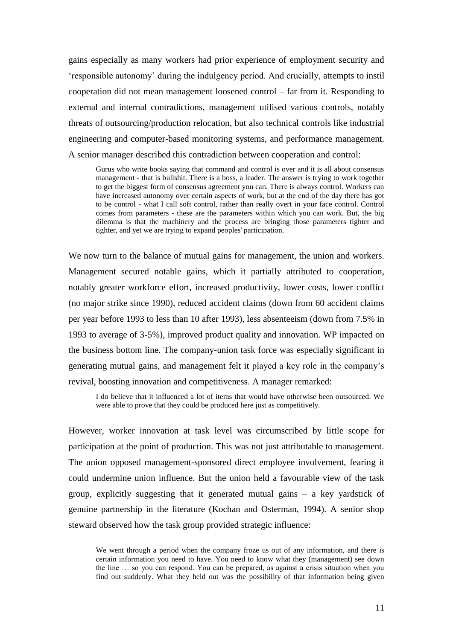gains especially as many workers had prior experience of employment security and 'responsible autonomy' during the indulgency period. And crucially, attempts to instil cooperation did not mean management loosened control – far from it. Responding to external and internal contradictions, management utilised various controls, notably threats of outsourcing/production relocation, but also technical controls like industrial engineering and computer-based monitoring systems, and performance management. A senior manager described this contradiction between cooperation and control:

Gurus who write books saying that command and control is over and it is all about consensus management - that is bullshit. There is a boss, a leader. The answer is trying to work together to get the biggest form of consensus agreement you can. There is always control. Workers can have increased autonomy over certain aspects of work, but at the end of the day there has got to be control - what I call soft control, rather than really overt in your face control. Control comes from parameters - these are the parameters within which you can work. But, the big dilemma is that the machinery and the process are bringing those parameters tighter and tighter, and yet we are trying to expand peoples' participation.

We now turn to the balance of mutual gains for management, the union and workers. Management secured notable gains, which it partially attributed to cooperation, notably greater workforce effort, increased productivity, lower costs, lower conflict (no major strike since 1990), reduced accident claims (down from 60 accident claims per year before 1993 to less than 10 after 1993), less absenteeism (down from 7.5% in 1993 to average of 3-5%), improved product quality and innovation. WP impacted on the business bottom line. The company-union task force was especially significant in generating mutual gains, and management felt it played a key role in the company's revival, boosting innovation and competitiveness. A manager remarked:

I do believe that it influenced a lot of items that would have otherwise been outsourced. We were able to prove that they could be produced here just as competitively.

However, worker innovation at task level was circumscribed by little scope for participation at the point of production. This was not just attributable to management. The union opposed management-sponsored direct employee involvement, fearing it could undermine union influence. But the union held a favourable view of the task group, explicitly suggesting that it generated mutual gains – a key yardstick of genuine partnership in the literature (Kochan and Osterman, 1994). A senior shop steward observed how the task group provided strategic influence:

We went through a period when the company froze us out of any information, and there is certain information you need to have. You need to know what they (management) see down the line … so you can respond. You can be prepared, as against a crisis situation when you find out suddenly. What they held out was the possibility of that information being given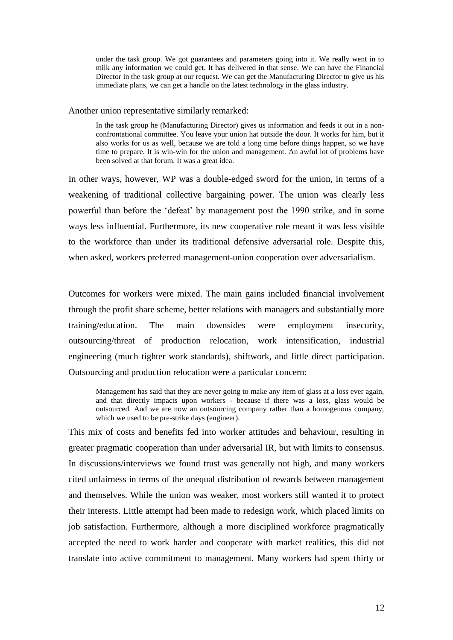under the task group. We got guarantees and parameters going into it. We really went in to milk any information we could get. It has delivered in that sense. We can have the Financial Director in the task group at our request. We can get the Manufacturing Director to give us his immediate plans, we can get a handle on the latest technology in the glass industry.

#### Another union representative similarly remarked:

In the task group he (Manufacturing Director) gives us information and feeds it out in a nonconfrontational committee. You leave your union hat outside the door. It works for him, but it also works for us as well, because we are told a long time before things happen, so we have time to prepare. It is win-win for the union and management. An awful lot of problems have been solved at that forum. It was a great idea.

In other ways, however, WP was a double-edged sword for the union, in terms of a weakening of traditional collective bargaining power. The union was clearly less powerful than before the 'defeat' by management post the 1990 strike, and in some ways less influential. Furthermore, its new cooperative role meant it was less visible to the workforce than under its traditional defensive adversarial role. Despite this, when asked, workers preferred management-union cooperation over adversarialism.

Outcomes for workers were mixed. The main gains included financial involvement through the profit share scheme, better relations with managers and substantially more training/education. The main downsides were employment insecurity, outsourcing/threat of production relocation, work intensification, industrial engineering (much tighter work standards), shiftwork, and little direct participation. Outsourcing and production relocation were a particular concern:

Management has said that they are never going to make any item of glass at a loss ever again, and that directly impacts upon workers - because if there was a loss, glass would be outsourced. And we are now an outsourcing company rather than a homogenous company, which we used to be pre-strike days (engineer).

This mix of costs and benefits fed into worker attitudes and behaviour, resulting in greater pragmatic cooperation than under adversarial IR, but with limits to consensus. In discussions/interviews we found trust was generally not high, and many workers cited unfairness in terms of the unequal distribution of rewards between management and themselves. While the union was weaker, most workers still wanted it to protect their interests. Little attempt had been made to redesign work, which placed limits on job satisfaction. Furthermore, although a more disciplined workforce pragmatically accepted the need to work harder and cooperate with market realities, this did not translate into active commitment to management. Many workers had spent thirty or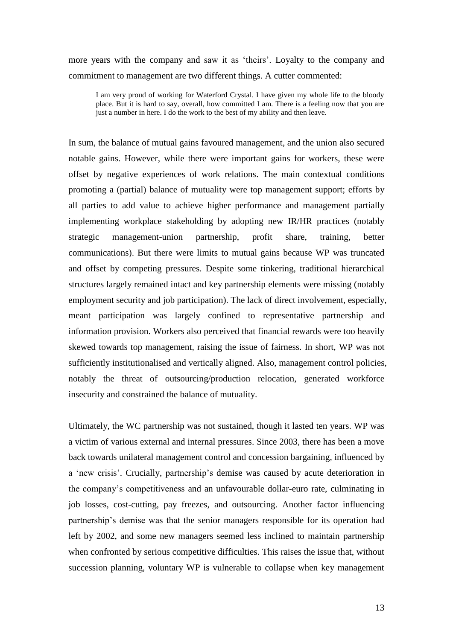more years with the company and saw it as 'theirs'. Loyalty to the company and commitment to management are two different things. A cutter commented:

I am very proud of working for Waterford Crystal. I have given my whole life to the bloody place. But it is hard to say, overall, how committed I am. There is a feeling now that you are just a number in here. I do the work to the best of my ability and then leave.

In sum, the balance of mutual gains favoured management, and the union also secured notable gains. However, while there were important gains for workers, these were offset by negative experiences of work relations. The main contextual conditions promoting a (partial) balance of mutuality were top management support; efforts by all parties to add value to achieve higher performance and management partially implementing workplace stakeholding by adopting new IR/HR practices (notably strategic management-union partnership, profit share, training, better communications). But there were limits to mutual gains because WP was truncated and offset by competing pressures. Despite some tinkering, traditional hierarchical structures largely remained intact and key partnership elements were missing (notably employment security and job participation). The lack of direct involvement, especially, meant participation was largely confined to representative partnership and information provision. Workers also perceived that financial rewards were too heavily skewed towards top management, raising the issue of fairness. In short, WP was not sufficiently institutionalised and vertically aligned. Also, management control policies, notably the threat of outsourcing/production relocation, generated workforce insecurity and constrained the balance of mutuality.

Ultimately, the WC partnership was not sustained, though it lasted ten years. WP was a victim of various external and internal pressures. Since 2003, there has been a move back towards unilateral management control and concession bargaining, influenced by a 'new crisis'. Crucially, partnership's demise was caused by acute deterioration in the company's competitiveness and an unfavourable dollar-euro rate, culminating in job losses, cost-cutting, pay freezes, and outsourcing. Another factor influencing partnership's demise was that the senior managers responsible for its operation had left by 2002, and some new managers seemed less inclined to maintain partnership when confronted by serious competitive difficulties. This raises the issue that, without succession planning, voluntary WP is vulnerable to collapse when key management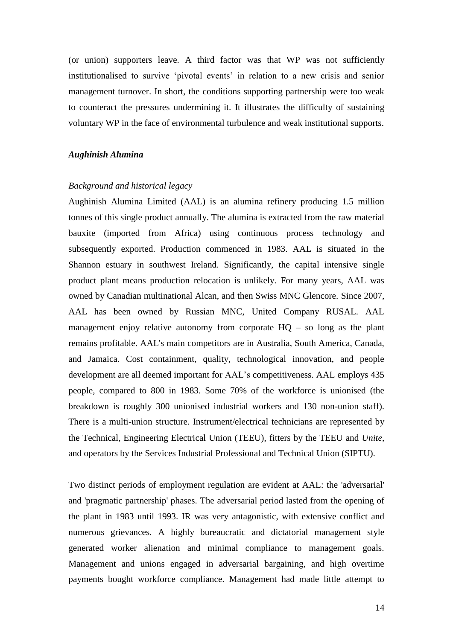(or union) supporters leave. A third factor was that WP was not sufficiently institutionalised to survive 'pivotal events' in relation to a new crisis and senior management turnover. In short, the conditions supporting partnership were too weak to counteract the pressures undermining it. It illustrates the difficulty of sustaining voluntary WP in the face of environmental turbulence and weak institutional supports.

### *Aughinish Alumina*

### *Background and historical legacy*

Aughinish Alumina Limited (AAL) is an alumina refinery producing 1.5 million tonnes of this single product annually. The alumina is extracted from the raw material bauxite (imported from Africa) using continuous process technology and subsequently exported. Production commenced in 1983. AAL is situated in the Shannon estuary in southwest Ireland. Significantly, the capital intensive single product plant means production relocation is unlikely. For many years, AAL was owned by Canadian multinational Alcan, and then Swiss MNC Glencore. Since 2007, AAL has been owned by Russian MNC, United Company RUSAL. AAL management enjoy relative autonomy from corporate  $HQ - so long as the plant$ remains profitable. AAL's main competitors are in Australia, South America, Canada, and Jamaica. Cost containment, quality, technological innovation, and people development are all deemed important for AAL's competitiveness. AAL employs 435 people, compared to 800 in 1983. Some 70% of the workforce is unionised (the breakdown is roughly 300 unionised industrial workers and 130 non-union staff). There is a multi-union structure. Instrument/electrical technicians are represented by the Technical, Engineering Electrical Union (TEEU), fitters by the TEEU and *Unite*, and operators by the Services Industrial Professional and Technical Union (SIPTU).

Two distinct periods of employment regulation are evident at AAL: the 'adversarial' and 'pragmatic partnership' phases. The adversarial period lasted from the opening of the plant in 1983 until 1993. IR was very antagonistic, with extensive conflict and numerous grievances. A highly bureaucratic and dictatorial management style generated worker alienation and minimal compliance to management goals. Management and unions engaged in adversarial bargaining, and high overtime payments bought workforce compliance. Management had made little attempt to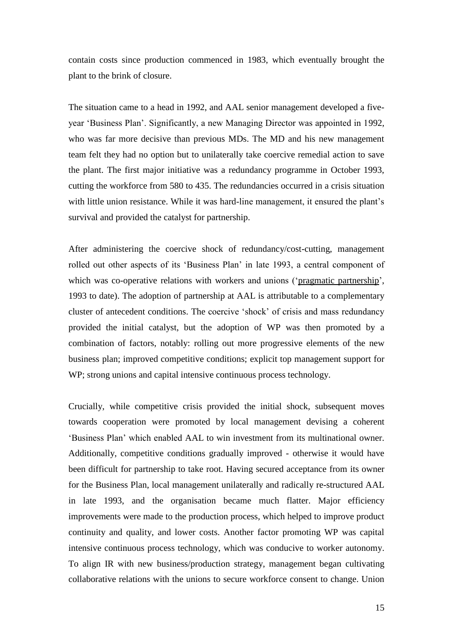contain costs since production commenced in 1983, which eventually brought the plant to the brink of closure.

The situation came to a head in 1992, and AAL senior management developed a fiveyear 'Business Plan'. Significantly, a new Managing Director was appointed in 1992, who was far more decisive than previous MDs. The MD and his new management team felt they had no option but to unilaterally take coercive remedial action to save the plant. The first major initiative was a redundancy programme in October 1993, cutting the workforce from 580 to 435. The redundancies occurred in a crisis situation with little union resistance. While it was hard-line management, it ensured the plant's survival and provided the catalyst for partnership.

After administering the coercive shock of redundancy/cost-cutting, management rolled out other aspects of its 'Business Plan' in late 1993, a central component of which was co-operative relations with workers and unions ('pragmatic partnership', 1993 to date). The adoption of partnership at AAL is attributable to a complementary cluster of antecedent conditions. The coercive 'shock' of crisis and mass redundancy provided the initial catalyst, but the adoption of WP was then promoted by a combination of factors, notably: rolling out more progressive elements of the new business plan; improved competitive conditions; explicit top management support for WP; strong unions and capital intensive continuous process technology.

Crucially, while competitive crisis provided the initial shock, subsequent moves towards cooperation were promoted by local management devising a coherent 'Business Plan' which enabled AAL to win investment from its multinational owner. Additionally, competitive conditions gradually improved - otherwise it would have been difficult for partnership to take root. Having secured acceptance from its owner for the Business Plan, local management unilaterally and radically re-structured AAL in late 1993, and the organisation became much flatter. Major efficiency improvements were made to the production process, which helped to improve product continuity and quality, and lower costs. Another factor promoting WP was capital intensive continuous process technology, which was conducive to worker autonomy. To align IR with new business/production strategy, management began cultivating collaborative relations with the unions to secure workforce consent to change. Union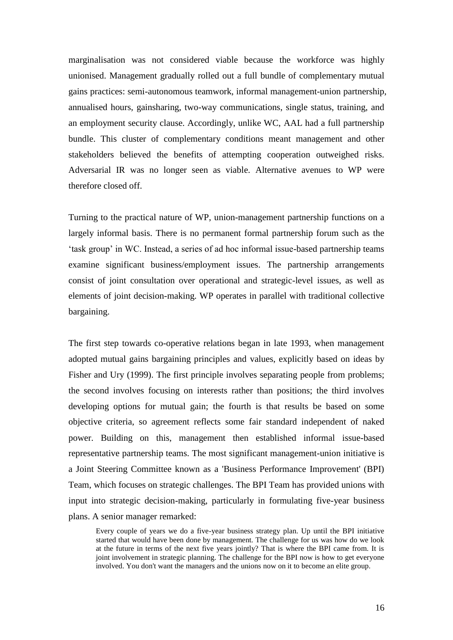marginalisation was not considered viable because the workforce was highly unionised. Management gradually rolled out a full bundle of complementary mutual gains practices: semi-autonomous teamwork, informal management-union partnership, annualised hours, gainsharing, two-way communications, single status, training, and an employment security clause. Accordingly, unlike WC, AAL had a full partnership bundle. This cluster of complementary conditions meant management and other stakeholders believed the benefits of attempting cooperation outweighed risks. Adversarial IR was no longer seen as viable. Alternative avenues to WP were therefore closed off.

Turning to the practical nature of WP, union-management partnership functions on a largely informal basis. There is no permanent formal partnership forum such as the 'task group' in WC. Instead, a series of ad hoc informal issue-based partnership teams examine significant business/employment issues. The partnership arrangements consist of joint consultation over operational and strategic-level issues, as well as elements of joint decision-making. WP operates in parallel with traditional collective bargaining.

The first step towards co-operative relations began in late 1993, when management adopted mutual gains bargaining principles and values, explicitly based on ideas by Fisher and Ury (1999). The first principle involves separating people from problems; the second involves focusing on interests rather than positions; the third involves developing options for mutual gain; the fourth is that results be based on some objective criteria, so agreement reflects some fair standard independent of naked power. Building on this, management then established informal issue-based representative partnership teams. The most significant management-union initiative is a Joint Steering Committee known as a 'Business Performance Improvement' (BPI) Team, which focuses on strategic challenges. The BPI Team has provided unions with input into strategic decision-making, particularly in formulating five-year business plans. A senior manager remarked:

Every couple of years we do a five-year business strategy plan. Up until the BPI initiative started that would have been done by management. The challenge for us was how do we look at the future in terms of the next five years jointly? That is where the BPI came from. It is joint involvement in strategic planning. The challenge for the BPI now is how to get everyone involved. You don't want the managers and the unions now on it to become an elite group.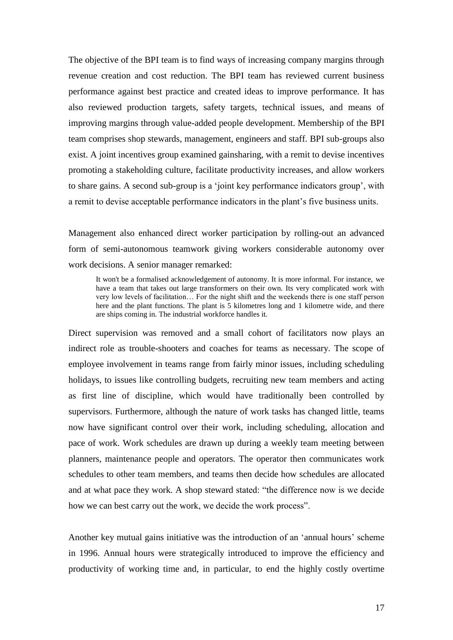The objective of the BPI team is to find ways of increasing company margins through revenue creation and cost reduction. The BPI team has reviewed current business performance against best practice and created ideas to improve performance. It has also reviewed production targets, safety targets, technical issues, and means of improving margins through value-added people development. Membership of the BPI team comprises shop stewards, management, engineers and staff. BPI sub-groups also exist. A joint incentives group examined gainsharing, with a remit to devise incentives promoting a stakeholding culture, facilitate productivity increases, and allow workers to share gains. A second sub-group is a 'joint key performance indicators group', with a remit to devise acceptable performance indicators in the plant's five business units.

Management also enhanced direct worker participation by rolling-out an advanced form of semi-autonomous teamwork giving workers considerable autonomy over work decisions. A senior manager remarked:

It won't be a formalised acknowledgement of autonomy. It is more informal. For instance, we have a team that takes out large transformers on their own. Its very complicated work with very low levels of facilitation… For the night shift and the weekends there is one staff person here and the plant functions. The plant is 5 kilometres long and 1 kilometre wide, and there are ships coming in. The industrial workforce handles it.

Direct supervision was removed and a small cohort of facilitators now plays an indirect role as trouble-shooters and coaches for teams as necessary. The scope of employee involvement in teams range from fairly minor issues, including scheduling holidays, to issues like controlling budgets, recruiting new team members and acting as first line of discipline, which would have traditionally been controlled by supervisors. Furthermore, although the nature of work tasks has changed little, teams now have significant control over their work, including scheduling, allocation and pace of work. Work schedules are drawn up during a weekly team meeting between planners, maintenance people and operators. The operator then communicates work schedules to other team members, and teams then decide how schedules are allocated and at what pace they work. A shop steward stated: "the difference now is we decide how we can best carry out the work, we decide the work process".

Another key mutual gains initiative was the introduction of an 'annual hours' scheme in 1996. Annual hours were strategically introduced to improve the efficiency and productivity of working time and, in particular, to end the highly costly overtime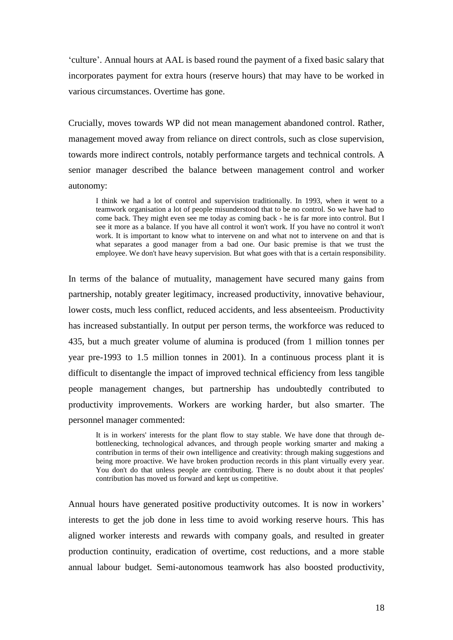'culture'. Annual hours at AAL is based round the payment of a fixed basic salary that incorporates payment for extra hours (reserve hours) that may have to be worked in various circumstances. Overtime has gone.

Crucially, moves towards WP did not mean management abandoned control. Rather, management moved away from reliance on direct controls, such as close supervision, towards more indirect controls, notably performance targets and technical controls. A senior manager described the balance between management control and worker autonomy:

I think we had a lot of control and supervision traditionally. In 1993, when it went to a teamwork organisation a lot of people misunderstood that to be no control. So we have had to come back. They might even see me today as coming back - he is far more into control. But I see it more as a balance. If you have all control it won't work. If you have no control it won't work. It is important to know what to intervene on and what not to intervene on and that is what separates a good manager from a bad one. Our basic premise is that we trust the employee. We don't have heavy supervision. But what goes with that is a certain responsibility.

In terms of the balance of mutuality, management have secured many gains from partnership, notably greater legitimacy, increased productivity, innovative behaviour, lower costs, much less conflict, reduced accidents, and less absenteeism. Productivity has increased substantially. In output per person terms, the workforce was reduced to 435, but a much greater volume of alumina is produced (from 1 million tonnes per year pre-1993 to 1.5 million tonnes in 2001). In a continuous process plant it is difficult to disentangle the impact of improved technical efficiency from less tangible people management changes, but partnership has undoubtedly contributed to productivity improvements. Workers are working harder, but also smarter. The personnel manager commented:

It is in workers' interests for the plant flow to stay stable. We have done that through debottlenecking, technological advances, and through people working smarter and making a contribution in terms of their own intelligence and creativity: through making suggestions and being more proactive. We have broken production records in this plant virtually every year. You don't do that unless people are contributing. There is no doubt about it that peoples' contribution has moved us forward and kept us competitive.

Annual hours have generated positive productivity outcomes. It is now in workers' interests to get the job done in less time to avoid working reserve hours. This has aligned worker interests and rewards with company goals, and resulted in greater production continuity, eradication of overtime, cost reductions, and a more stable annual labour budget. Semi-autonomous teamwork has also boosted productivity,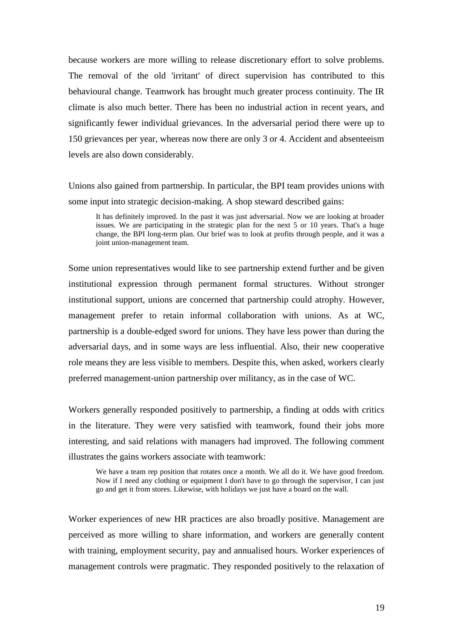because workers are more willing to release discretionary effort to solve problems. The removal of the old 'irritant' of direct supervision has contributed to this behavioural change. Teamwork has brought much greater process continuity. The IR climate is also much better. There has been no industrial action in recent years, and significantly fewer individual grievances. In the adversarial period there were up to 150 grievances per year, whereas now there are only 3 or 4. Accident and absenteeism levels are also down considerably.

Unions also gained from partnership. In particular, the BPI team provides unions with some input into strategic decision-making. A shop steward described gains:

It has definitely improved. In the past it was just adversarial. Now we are looking at broader issues. We are participating in the strategic plan for the next 5 or 10 years. That's a huge change, the BPI long-term plan. Our brief was to look at profits through people, and it was a joint union-management team.

Some union representatives would like to see partnership extend further and be given institutional expression through permanent formal structures. Without stronger institutional support, unions are concerned that partnership could atrophy. However, management prefer to retain informal collaboration with unions. As at WC, partnership is a double-edged sword for unions. They have less power than during the adversarial days, and in some ways are less influential. Also, their new cooperative role means they are less visible to members. Despite this, when asked, workers clearly preferred management-union partnership over militancy, as in the case of WC.

Workers generally responded positively to partnership, a finding at odds with critics in the literature. They were very satisfied with teamwork, found their jobs more interesting, and said relations with managers had improved. The following comment illustrates the gains workers associate with teamwork:

We have a team rep position that rotates once a month. We all do it. We have good freedom. Now if I need any clothing or equipment I don't have to go through the supervisor, I can just go and get it from stores. Likewise, with holidays we just have a board on the wall.

Worker experiences of new HR practices are also broadly positive. Management are perceived as more willing to share information, and workers are generally content with training, employment security, pay and annualised hours. Worker experiences of management controls were pragmatic. They responded positively to the relaxation of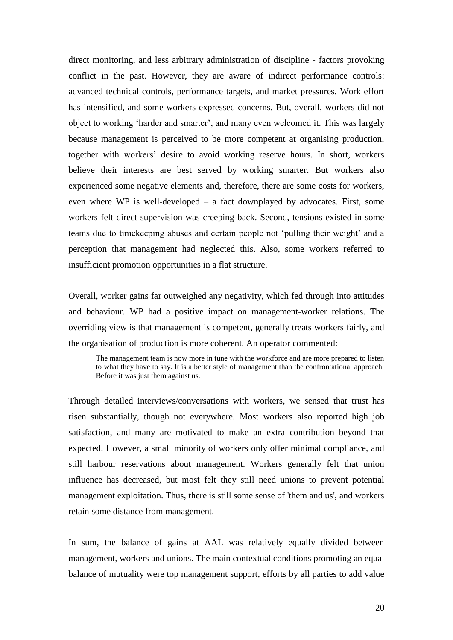direct monitoring, and less arbitrary administration of discipline - factors provoking conflict in the past. However, they are aware of indirect performance controls: advanced technical controls, performance targets, and market pressures. Work effort has intensified, and some workers expressed concerns. But, overall, workers did not object to working 'harder and smarter', and many even welcomed it. This was largely because management is perceived to be more competent at organising production, together with workers' desire to avoid working reserve hours. In short, workers believe their interests are best served by working smarter. But workers also experienced some negative elements and, therefore, there are some costs for workers, even where WP is well-developed – a fact downplayed by advocates. First, some workers felt direct supervision was creeping back. Second, tensions existed in some teams due to timekeeping abuses and certain people not 'pulling their weight' and a perception that management had neglected this. Also, some workers referred to insufficient promotion opportunities in a flat structure.

Overall, worker gains far outweighed any negativity, which fed through into attitudes and behaviour. WP had a positive impact on management-worker relations. The overriding view is that management is competent, generally treats workers fairly, and the organisation of production is more coherent. An operator commented:

The management team is now more in tune with the workforce and are more prepared to listen to what they have to say. It is a better style of management than the confrontational approach. Before it was just them against us.

Through detailed interviews/conversations with workers, we sensed that trust has risen substantially, though not everywhere. Most workers also reported high job satisfaction, and many are motivated to make an extra contribution beyond that expected. However, a small minority of workers only offer minimal compliance, and still harbour reservations about management. Workers generally felt that union influence has decreased, but most felt they still need unions to prevent potential management exploitation. Thus, there is still some sense of 'them and us', and workers retain some distance from management.

In sum, the balance of gains at AAL was relatively equally divided between management, workers and unions. The main contextual conditions promoting an equal balance of mutuality were top management support, efforts by all parties to add value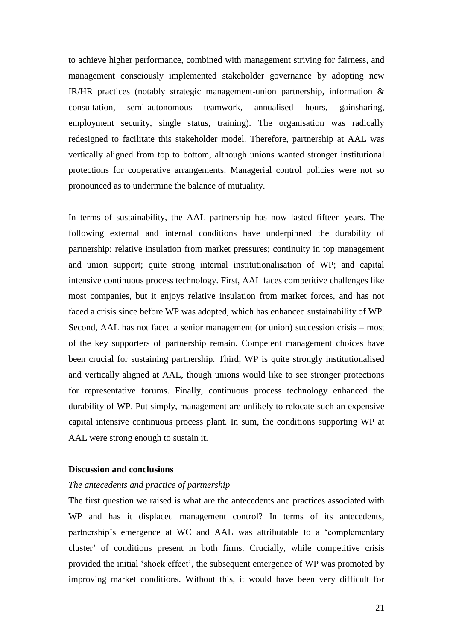to achieve higher performance, combined with management striving for fairness, and management consciously implemented stakeholder governance by adopting new IR/HR practices (notably strategic management-union partnership, information & consultation, semi-autonomous teamwork, annualised hours, gainsharing, employment security, single status, training). The organisation was radically redesigned to facilitate this stakeholder model. Therefore, partnership at AAL was vertically aligned from top to bottom, although unions wanted stronger institutional protections for cooperative arrangements. Managerial control policies were not so pronounced as to undermine the balance of mutuality.

In terms of sustainability, the AAL partnership has now lasted fifteen years. The following external and internal conditions have underpinned the durability of partnership: relative insulation from market pressures; continuity in top management and union support; quite strong internal institutionalisation of WP; and capital intensive continuous process technology. First, AAL faces competitive challenges like most companies, but it enjoys relative insulation from market forces, and has not faced a crisis since before WP was adopted, which has enhanced sustainability of WP. Second, AAL has not faced a senior management (or union) succession crisis – most of the key supporters of partnership remain. Competent management choices have been crucial for sustaining partnership. Third, WP is quite strongly institutionalised and vertically aligned at AAL, though unions would like to see stronger protections for representative forums. Finally, continuous process technology enhanced the durability of WP. Put simply, management are unlikely to relocate such an expensive capital intensive continuous process plant. In sum, the conditions supporting WP at AAL were strong enough to sustain it.

### **Discussion and conclusions**

#### *The antecedents and practice of partnership*

The first question we raised is what are the antecedents and practices associated with WP and has it displaced management control? In terms of its antecedents, partnership's emergence at WC and AAL was attributable to a 'complementary cluster' of conditions present in both firms. Crucially, while competitive crisis provided the initial 'shock effect', the subsequent emergence of WP was promoted by improving market conditions. Without this, it would have been very difficult for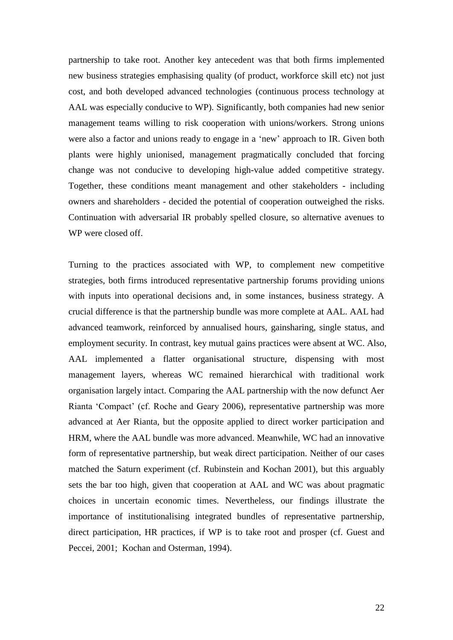partnership to take root. Another key antecedent was that both firms implemented new business strategies emphasising quality (of product, workforce skill etc) not just cost, and both developed advanced technologies (continuous process technology at AAL was especially conducive to WP). Significantly, both companies had new senior management teams willing to risk cooperation with unions/workers. Strong unions were also a factor and unions ready to engage in a 'new' approach to IR. Given both plants were highly unionised, management pragmatically concluded that forcing change was not conducive to developing high-value added competitive strategy. Together, these conditions meant management and other stakeholders - including owners and shareholders - decided the potential of cooperation outweighed the risks. Continuation with adversarial IR probably spelled closure, so alternative avenues to WP were closed off.

Turning to the practices associated with WP, to complement new competitive strategies, both firms introduced representative partnership forums providing unions with inputs into operational decisions and, in some instances, business strategy. A crucial difference is that the partnership bundle was more complete at AAL. AAL had advanced teamwork, reinforced by annualised hours, gainsharing, single status, and employment security. In contrast, key mutual gains practices were absent at WC. Also, AAL implemented a flatter organisational structure, dispensing with most management layers, whereas WC remained hierarchical with traditional work organisation largely intact. Comparing the AAL partnership with the now defunct Aer Rianta 'Compact' (cf. Roche and Geary 2006), representative partnership was more advanced at Aer Rianta, but the opposite applied to direct worker participation and HRM, where the AAL bundle was more advanced. Meanwhile, WC had an innovative form of representative partnership, but weak direct participation. Neither of our cases matched the Saturn experiment (cf. Rubinstein and Kochan 2001), but this arguably sets the bar too high, given that cooperation at AAL and WC was about pragmatic choices in uncertain economic times. Nevertheless, our findings illustrate the importance of institutionalising integrated bundles of representative partnership, direct participation, HR practices, if WP is to take root and prosper (cf. Guest and Peccei, 2001; Kochan and Osterman, 1994).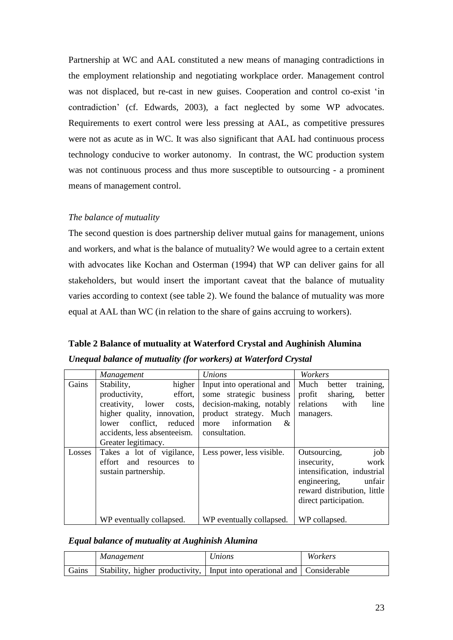Partnership at WC and AAL constituted a new means of managing contradictions in the employment relationship and negotiating workplace order. Management control was not displaced, but re-cast in new guises. Cooperation and control co-exist 'in contradiction' (cf. Edwards, 2003), a fact neglected by some WP advocates. Requirements to exert control were less pressing at AAL, as competitive pressures were not as acute as in WC. It was also significant that AAL had continuous process technology conducive to worker autonomy. In contrast, the WC production system was not continuous process and thus more susceptible to outsourcing - a prominent means of management control.

# *The balance of mutuality*

The second question is does partnership deliver mutual gains for management, unions and workers, and what is the balance of mutuality? We would agree to a certain extent with advocates like Kochan and Osterman (1994) that WP can deliver gains for all stakeholders, but would insert the important caveat that the balance of mutuality varies according to context (see table 2). We found the balance of mutuality was more equal at AAL than WC (in relation to the share of gains accruing to workers).

| Table 2 Balance of mutuality at Waterford Crystal and Aughinish Alumina |
|-------------------------------------------------------------------------|
| Unequal balance of mutuality (for workers) at Waterford Crystal         |

|        | Management                     | Unions                     | Workers                      |
|--------|--------------------------------|----------------------------|------------------------------|
| Gains  | Stability,<br>higher           | Input into operational and | training,<br>Much<br>better  |
|        | productivity,<br>effort,       | some strategic business    | profit<br>sharing,<br>better |
|        | creativity,<br>lower<br>costs. | decision-making, notably   | relations<br>with<br>line    |
|        | higher quality, innovation,    | product strategy. Much     | managers.                    |
|        | lower conflict, reduced        | information<br>&<br>more   |                              |
|        | accidents, less absenteeism.   | consultation.              |                              |
|        | Greater legitimacy.            |                            |                              |
| Losses | Takes a lot of vigilance,      | Less power, less visible.  | job<br>Outsourcing,          |
|        | effort and resources<br>to     |                            | work<br>insecurity,          |
|        | sustain partnership.           |                            | intensification, industrial  |
|        |                                |                            | engineering,<br>unfair       |
|        |                                |                            | reward distribution, little  |
|        |                                |                            | direct participation.        |
|        |                                |                            |                              |
|        | WP eventually collapsed.       | WP eventually collapsed.   | WP collapsed.                |

# *Equal balance of mutuality at Aughinish Alumina*

|       | Management                                                              | Unions | Workers |
|-------|-------------------------------------------------------------------------|--------|---------|
| Gains | Stability, higher productivity, Input into operational and Considerable |        |         |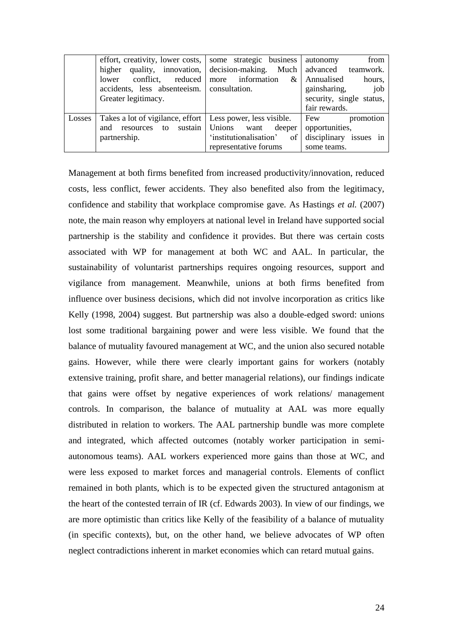|        | effort, creativity, lower costs, some strategic business<br>higher quality, innovation, decision-making. Much advanced teamwork.<br>conflict,<br>reduced  <br>lower<br>accidents, less absenteeism. consultation.<br>Greater legitimacy. | information<br>more                                                       | from<br>autonomy<br>$&$ Annualised<br>hours.<br>gainsharing,<br>job<br>security, single status,<br>fair rewards. |
|--------|------------------------------------------------------------------------------------------------------------------------------------------------------------------------------------------------------------------------------------------|---------------------------------------------------------------------------|------------------------------------------------------------------------------------------------------------------|
| Losses | Takes a lot of vigilance, effort   Less power, less visible.<br>resources to sustain Unions want<br>and<br>partnership.                                                                                                                  | deeper<br>'institutionalisation'<br>$of \sqrt{}$<br>representative forums | promotion<br>Few<br>opportunities,<br>disciplinary issues in<br>some teams.                                      |

Management at both firms benefited from increased productivity/innovation, reduced costs, less conflict, fewer accidents. They also benefited also from the legitimacy, confidence and stability that workplace compromise gave. As Hastings *et al.* (2007) note, the main reason why employers at national level in Ireland have supported social partnership is the stability and confidence it provides. But there was certain costs associated with WP for management at both WC and AAL. In particular, the sustainability of voluntarist partnerships requires ongoing resources, support and vigilance from management. Meanwhile, unions at both firms benefited from influence over business decisions, which did not involve incorporation as critics like Kelly (1998, 2004) suggest. But partnership was also a double-edged sword: unions lost some traditional bargaining power and were less visible. We found that the balance of mutuality favoured management at WC, and the union also secured notable gains. However, while there were clearly important gains for workers (notably extensive training, profit share, and better managerial relations), our findings indicate that gains were offset by negative experiences of work relations/ management controls. In comparison, the balance of mutuality at AAL was more equally distributed in relation to workers. The AAL partnership bundle was more complete and integrated, which affected outcomes (notably worker participation in semiautonomous teams). AAL workers experienced more gains than those at WC, and were less exposed to market forces and managerial controls. Elements of conflict remained in both plants, which is to be expected given the structured antagonism at the heart of the contested terrain of IR (cf. Edwards 2003). In view of our findings, we are more optimistic than critics like Kelly of the feasibility of a balance of mutuality (in specific contexts), but, on the other hand, we believe advocates of WP often neglect contradictions inherent in market economies which can retard mutual gains.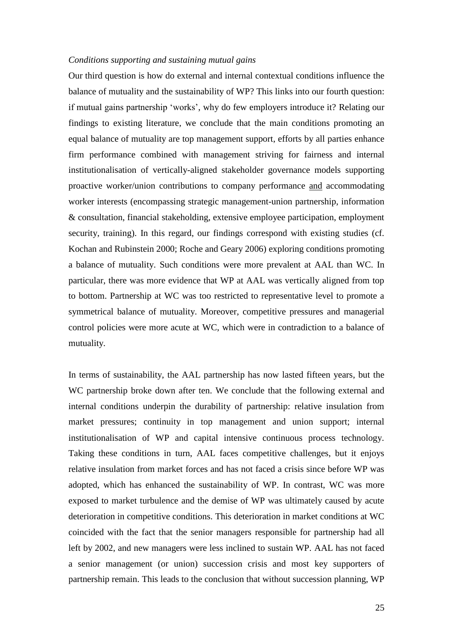#### *Conditions supporting and sustaining mutual gains*

Our third question is how do external and internal contextual conditions influence the balance of mutuality and the sustainability of WP? This links into our fourth question: if mutual gains partnership 'works', why do few employers introduce it? Relating our findings to existing literature, we conclude that the main conditions promoting an equal balance of mutuality are top management support, efforts by all parties enhance firm performance combined with management striving for fairness and internal institutionalisation of vertically-aligned stakeholder governance models supporting proactive worker/union contributions to company performance and accommodating worker interests (encompassing strategic management-union partnership, information & consultation, financial stakeholding, extensive employee participation, employment security, training). In this regard, our findings correspond with existing studies (cf. Kochan and Rubinstein 2000; Roche and Geary 2006) exploring conditions promoting a balance of mutuality. Such conditions were more prevalent at AAL than WC. In particular, there was more evidence that WP at AAL was vertically aligned from top to bottom. Partnership at WC was too restricted to representative level to promote a symmetrical balance of mutuality. Moreover, competitive pressures and managerial control policies were more acute at WC, which were in contradiction to a balance of mutuality.

In terms of sustainability, the AAL partnership has now lasted fifteen years, but the WC partnership broke down after ten. We conclude that the following external and internal conditions underpin the durability of partnership: relative insulation from market pressures; continuity in top management and union support; internal institutionalisation of WP and capital intensive continuous process technology. Taking these conditions in turn, AAL faces competitive challenges, but it enjoys relative insulation from market forces and has not faced a crisis since before WP was adopted, which has enhanced the sustainability of WP. In contrast, WC was more exposed to market turbulence and the demise of WP was ultimately caused by acute deterioration in competitive conditions. This deterioration in market conditions at WC coincided with the fact that the senior managers responsible for partnership had all left by 2002, and new managers were less inclined to sustain WP. AAL has not faced a senior management (or union) succession crisis and most key supporters of partnership remain. This leads to the conclusion that without succession planning, WP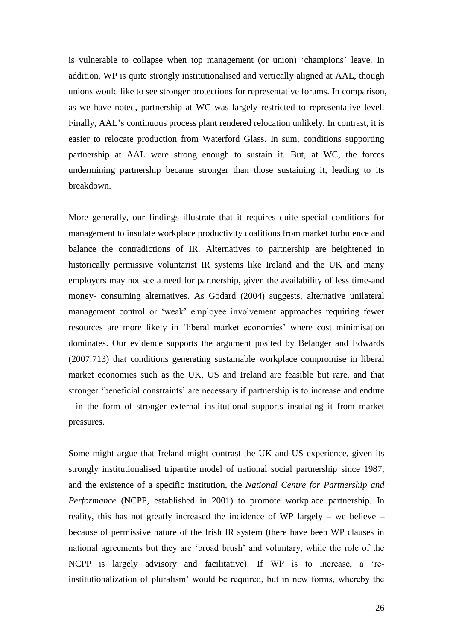is vulnerable to collapse when top management (or union) 'champions' leave. In addition, WP is quite strongly institutionalised and vertically aligned at AAL, though unions would like to see stronger protections for representative forums. In comparison, as we have noted, partnership at WC was largely restricted to representative level. Finally, AAL's continuous process plant rendered relocation unlikely. In contrast, it is easier to relocate production from Waterford Glass. In sum, conditions supporting partnership at AAL were strong enough to sustain it. But, at WC, the forces undermining partnership became stronger than those sustaining it, leading to its breakdown.

More generally, our findings illustrate that it requires quite special conditions for management to insulate workplace productivity coalitions from market turbulence and balance the contradictions of IR. Alternatives to partnership are heightened in historically permissive voluntarist IR systems like Ireland and the UK and many employers may not see a need for partnership, given the availability of less time-and money- consuming alternatives. As Godard (2004) suggests, alternative unilateral management control or 'weak' employee involvement approaches requiring fewer resources are more likely in 'liberal market economies' where cost minimisation dominates. Our evidence supports the argument posited by Belanger and Edwards (2007:713) that conditions generating sustainable workplace compromise in liberal market economies such as the UK, US and Ireland are feasible but rare, and that stronger 'beneficial constraints' are necessary if partnership is to increase and endure - in the form of stronger external institutional supports insulating it from market pressures.

Some might argue that Ireland might contrast the UK and US experience, given its strongly institutionalised tripartite model of national social partnership since 1987, and the existence of a specific institution, the *National Centre for Partnership and Performance* (NCPP, established in 2001) to promote workplace partnership. In reality, this has not greatly increased the incidence of WP largely – we believe – because of permissive nature of the Irish IR system (there have been WP clauses in national agreements but they are 'broad brush' and voluntary, while the role of the NCPP is largely advisory and facilitative). If WP is to increase, a 'reinstitutionalization of pluralism' would be required, but in new forms, whereby the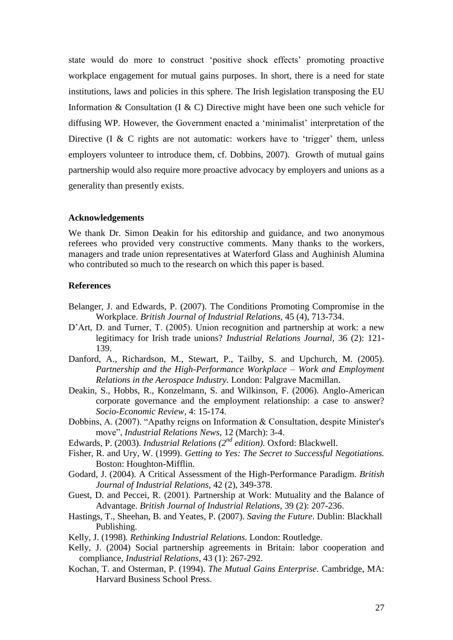state would do more to construct 'positive shock effects' promoting proactive workplace engagement for mutual gains purposes. In short, there is a need for state institutions, laws and policies in this sphere. The Irish legislation transposing the EU Information & Consultation (I & C) Directive might have been one such vehicle for diffusing WP. However, the Government enacted a 'minimalist' interpretation of the Directive (I & C rights are not automatic: workers have to 'trigger' them, unless employers volunteer to introduce them, cf. Dobbins, 2007). Growth of mutual gains partnership would also require more proactive advocacy by employers and unions as a generality than presently exists.

#### **Acknowledgements**

We thank Dr. Simon Deakin for his editorship and guidance, and two anonymous referees who provided very constructive comments. Many thanks to the workers, managers and trade union representatives at Waterford Glass and Aughinish Alumina who contributed so much to the research on which this paper is based.

#### **References**

- Belanger, J. and Edwards, P. (2007). The Conditions Promoting Compromise in the Workplace. *British Journal of Industrial Relations,* 45 (4), 713-734.
- D'Art, D. and Turner, T. (2005). Union recognition and partnership at work: a new legitimacy for Irish trade unions? *Industrial Relations Journal,* 36 (2): 121- 139.
- Danford, A., Richardson, M., Stewart, P., Tailby, S. and Upchurch, M. (2005). *Partnership and the High-Performance Workplace – Work and Employment Relations in the Aerospace Industry.* London: Palgrave Macmillan.
- Deakin, S., Hobbs, R., Konzelmann, S. and Wilkinson, F. (2006). Anglo-American corporate governance and the employment relationship: a case to answer? *Socio-Economic Review,* 4: 15-174.
- Dobbins, A. (2007). "Apathy reigns on Information & Consultation, despite Minister's move", *Industrial Relations News*, 12 (March): 3-4.
- Edwards, P. (2003). *Industrial Relations (2nd edition).* Oxford: Blackwell.
- Fisher, R. and Ury, W. (1999). *Getting to Yes: The Secret to Successful Negotiations.*  Boston: Houghton-Mifflin.
- Godard, J. (2004). A Critical Assessment of the High-Performance Paradigm. *British Journal of Industrial Relations,* 42 (2), 349-378.
- Guest, D. and Peccei, R. (2001). Partnership at Work: Mutuality and the Balance of Advantage. *British Journal of Industrial Relations,* 39 (2): 207-236.
- Hastings, T., Sheehan, B. and Yeates, P. (2007). *Saving the Future*. Dublin: Blackhall Publishing.
- Kelly, J. (1998)*. Rethinking Industrial Relations.* London: Routledge.
- Kelly, J. (2004) Social partnership agreements in Britain: labor cooperation and compliance, *Industrial Relations*, 43 (1): 267-292.
- Kochan, T. and Osterman, P. (1994). *The Mutual Gains Enterprise.* Cambridge, MA: Harvard Business School Press.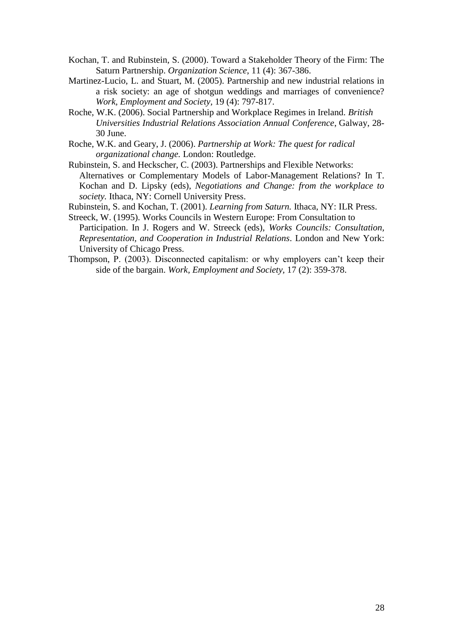- Kochan, T. and Rubinstein, S. (2000). Toward a Stakeholder Theory of the Firm: The Saturn Partnership. *Organization Science*, 11 (4): 367-386.
- Martinez-Lucio, L. and Stuart, M. (2005). Partnership and new industrial relations in a risk society: an age of shotgun weddings and marriages of convenience? *Work, Employment and Society,* 19 (4): 797-817.
- Roche, W.K. (2006). Social Partnership and Workplace Regimes in Ireland. *British Universities Industrial Relations Association Annual Conference*, Galway, 28- 30 June.
- Roche, W.K. and Geary, J. (2006). *Partnership at Work: The quest for radical organizational change.* London: Routledge.
- Rubinstein, S. and Heckscher, C. (2003). Partnerships and Flexible Networks: Alternatives or Complementary Models of Labor-Management Relations? In T. Kochan and D. Lipsky (eds), *Negotiations and Change: from the workplace to society.* Ithaca, NY: Cornell University Press.
- Rubinstein, S. and Kochan, T. (2001). *Learning from Saturn.* Ithaca, NY: ILR Press.
- Streeck, W. (1995). Works Councils in Western Europe: From Consultation to Participation. In J. Rogers and W. Streeck (eds), *Works Councils: Consultation, Representation, and Cooperation in Industrial Relations*. London and New York: University of Chicago Press.
- Thompson, P. (2003). Disconnected capitalism: or why employers can't keep their side of the bargain. *Work, Employment and Society,* 17 (2): 359-378.